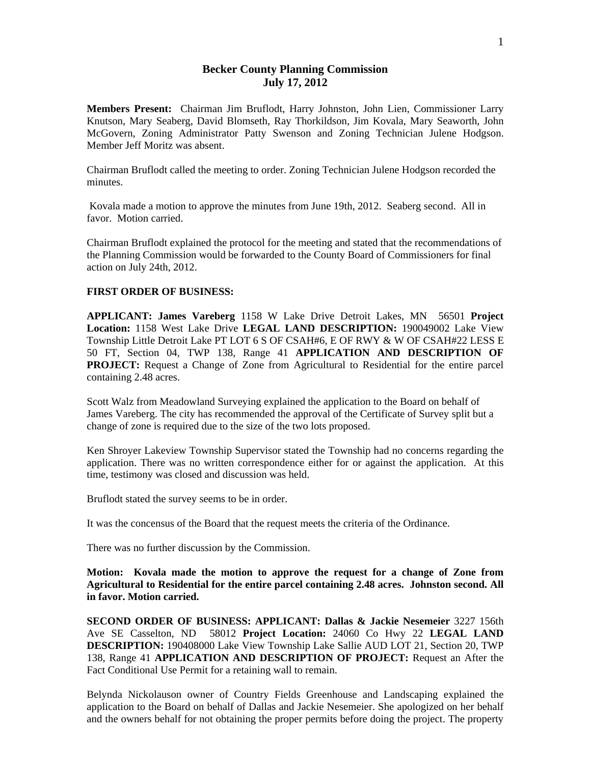## **Becker County Planning Commission July 17, 2012**

**Members Present:** Chairman Jim Bruflodt, Harry Johnston, John Lien, Commissioner Larry Knutson, Mary Seaberg, David Blomseth, Ray Thorkildson, Jim Kovala, Mary Seaworth, John McGovern, Zoning Administrator Patty Swenson and Zoning Technician Julene Hodgson. Member Jeff Moritz was absent.

Chairman Bruflodt called the meeting to order. Zoning Technician Julene Hodgson recorded the minutes.

 Kovala made a motion to approve the minutes from June 19th, 2012. Seaberg second. All in favor. Motion carried.

Chairman Bruflodt explained the protocol for the meeting and stated that the recommendations of the Planning Commission would be forwarded to the County Board of Commissioners for final action on July 24th, 2012.

## **FIRST ORDER OF BUSINESS:**

**APPLICANT: James Vareberg** 1158 W Lake Drive Detroit Lakes, MN 56501 **Project Location:** 1158 West Lake Drive **LEGAL LAND DESCRIPTION:** 190049002 Lake View Township Little Detroit Lake PT LOT 6 S OF CSAH#6, E OF RWY & W OF CSAH#22 LESS E 50 FT, Section 04, TWP 138, Range 41 **APPLICATION AND DESCRIPTION OF PROJECT:** Request a Change of Zone from Agricultural to Residential for the entire parcel containing 2.48 acres.

Scott Walz from Meadowland Surveying explained the application to the Board on behalf of James Vareberg. The city has recommended the approval of the Certificate of Survey split but a change of zone is required due to the size of the two lots proposed.

Ken Shroyer Lakeview Township Supervisor stated the Township had no concerns regarding the application. There was no written correspondence either for or against the application. At this time, testimony was closed and discussion was held.

Bruflodt stated the survey seems to be in order.

It was the concensus of the Board that the request meets the criteria of the Ordinance.

There was no further discussion by the Commission.

**Motion: Kovala made the motion to approve the request for a change of Zone from Agricultural to Residential for the entire parcel containing 2.48 acres. Johnston second. All in favor. Motion carried.** 

**SECOND ORDER OF BUSINESS: APPLICANT: Dallas & Jackie Nesemeier** 3227 156th Ave SE Casselton, ND 58012 **Project Location:** 24060 Co Hwy 22 **LEGAL LAND DESCRIPTION:** 190408000 Lake View Township Lake Sallie AUD LOT 21, Section 20, TWP 138, Range 41 **APPLICATION AND DESCRIPTION OF PROJECT:** Request an After the Fact Conditional Use Permit for a retaining wall to remain.

Belynda Nickolauson owner of Country Fields Greenhouse and Landscaping explained the application to the Board on behalf of Dallas and Jackie Nesemeier. She apologized on her behalf and the owners behalf for not obtaining the proper permits before doing the project. The property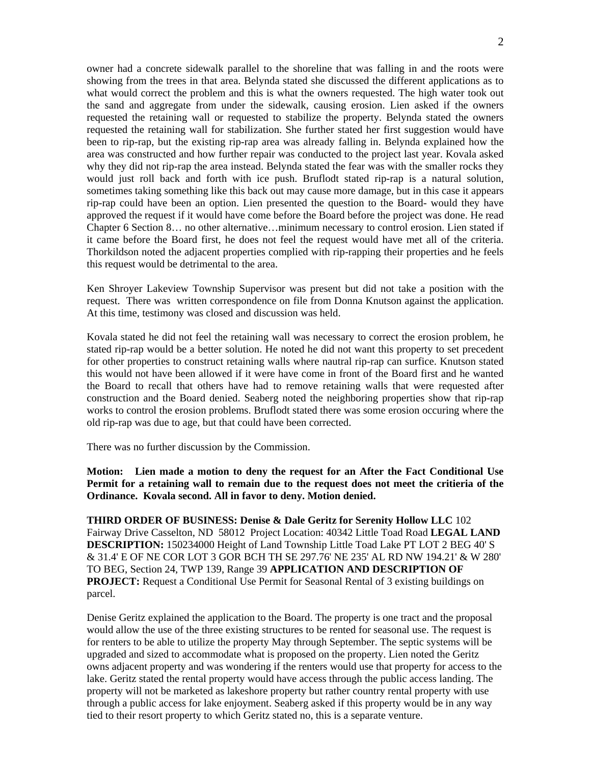owner had a concrete sidewalk parallel to the shoreline that was falling in and the roots were showing from the trees in that area. Belynda stated she discussed the different applications as to what would correct the problem and this is what the owners requested. The high water took out the sand and aggregate from under the sidewalk, causing erosion. Lien asked if the owners requested the retaining wall or requested to stabilize the property. Belynda stated the owners requested the retaining wall for stabilization. She further stated her first suggestion would have been to rip-rap, but the existing rip-rap area was already falling in. Belynda explained how the area was constructed and how further repair was conducted to the project last year. Kovala asked why they did not rip-rap the area instead. Belynda stated the fear was with the smaller rocks they would just roll back and forth with ice push. Bruflodt stated rip-rap is a natural solution, sometimes taking something like this back out may cause more damage, but in this case it appears rip-rap could have been an option. Lien presented the question to the Board- would they have approved the request if it would have come before the Board before the project was done. He read Chapter 6 Section 8… no other alternative…minimum necessary to control erosion. Lien stated if it came before the Board first, he does not feel the request would have met all of the criteria. Thorkildson noted the adjacent properties complied with rip-rapping their properties and he feels this request would be detrimental to the area.

Ken Shroyer Lakeview Township Supervisor was present but did not take a position with the request. There was written correspondence on file from Donna Knutson against the application. At this time, testimony was closed and discussion was held.

Kovala stated he did not feel the retaining wall was necessary to correct the erosion problem, he stated rip-rap would be a better solution. He noted he did not want this property to set precedent for other properties to construct retaining walls where nautral rip-rap can surfice. Knutson stated this would not have been allowed if it were have come in front of the Board first and he wanted the Board to recall that others have had to remove retaining walls that were requested after construction and the Board denied. Seaberg noted the neighboring properties show that rip-rap works to control the erosion problems. Bruflodt stated there was some erosion occuring where the old rip-rap was due to age, but that could have been corrected.

There was no further discussion by the Commission.

**Motion: Lien made a motion to deny the request for an After the Fact Conditional Use Permit for a retaining wall to remain due to the request does not meet the critieria of the Ordinance. Kovala second. All in favor to deny. Motion denied.** 

**THIRD ORDER OF BUSINESS: Denise & Dale Geritz for Serenity Hollow LLC** 102 Fairway Drive Casselton, ND 58012 Project Location: 40342 Little Toad Road **LEGAL LAND DESCRIPTION:** 150234000 Height of Land Township Little Toad Lake PT LOT 2 BEG 40' S & 31.4' E OF NE COR LOT 3 GOR BCH TH SE 297.76' NE 235' AL RD NW 194.21' & W 280' TO BEG, Section 24, TWP 139, Range 39 **APPLICATION AND DESCRIPTION OF PROJECT:** Request a Conditional Use Permit for Seasonal Rental of 3 existing buildings on parcel.

Denise Geritz explained the application to the Board. The property is one tract and the proposal would allow the use of the three existing structures to be rented for seasonal use. The request is for renters to be able to utilize the property May through September. The septic systems will be upgraded and sized to accommodate what is proposed on the property. Lien noted the Geritz owns adjacent property and was wondering if the renters would use that property for access to the lake. Geritz stated the rental property would have access through the public access landing. The property will not be marketed as lakeshore property but rather country rental property with use through a public access for lake enjoyment. Seaberg asked if this property would be in any way tied to their resort property to which Geritz stated no, this is a separate venture.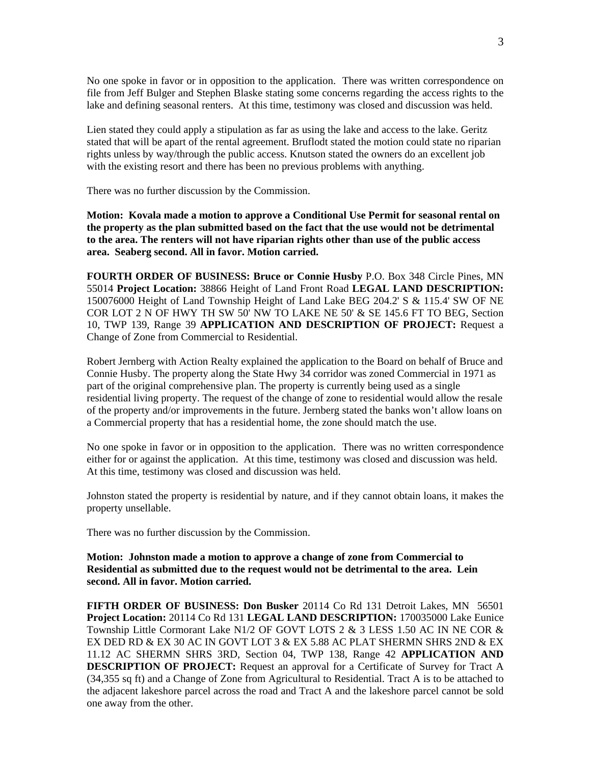No one spoke in favor or in opposition to the application. There was written correspondence on file from Jeff Bulger and Stephen Blaske stating some concerns regarding the access rights to the lake and defining seasonal renters. At this time, testimony was closed and discussion was held.

Lien stated they could apply a stipulation as far as using the lake and access to the lake. Geritz stated that will be apart of the rental agreement. Bruflodt stated the motion could state no riparian rights unless by way/through the public access. Knutson stated the owners do an excellent job with the existing resort and there has been no previous problems with anything.

There was no further discussion by the Commission.

**Motion: Kovala made a motion to approve a Conditional Use Permit for seasonal rental on the property as the plan submitted based on the fact that the use would not be detrimental to the area. The renters will not have riparian rights other than use of the public access area. Seaberg second. All in favor. Motion carried.** 

**FOURTH ORDER OF BUSINESS: Bruce or Connie Husby** P.O. Box 348 Circle Pines, MN 55014 **Project Location:** 38866 Height of Land Front Road **LEGAL LAND DESCRIPTION:** 150076000 Height of Land Township Height of Land Lake BEG 204.2' S & 115.4' SW OF NE COR LOT 2 N OF HWY TH SW 50' NW TO LAKE NE 50' & SE 145.6 FT TO BEG, Section 10, TWP 139, Range 39 **APPLICATION AND DESCRIPTION OF PROJECT:** Request a Change of Zone from Commercial to Residential.

Robert Jernberg with Action Realty explained the application to the Board on behalf of Bruce and Connie Husby. The property along the State Hwy 34 corridor was zoned Commercial in 1971 as part of the original comprehensive plan. The property is currently being used as a single residential living property. The request of the change of zone to residential would allow the resale of the property and/or improvements in the future. Jernberg stated the banks won't allow loans on a Commercial property that has a residential home, the zone should match the use.

No one spoke in favor or in opposition to the application. There was no written correspondence either for or against the application. At this time, testimony was closed and discussion was held. At this time, testimony was closed and discussion was held.

Johnston stated the property is residential by nature, and if they cannot obtain loans, it makes the property unsellable.

There was no further discussion by the Commission.

**Motion: Johnston made a motion to approve a change of zone from Commercial to Residential as submitted due to the request would not be detrimental to the area. Lein second. All in favor. Motion carried.** 

**FIFTH ORDER OF BUSINESS: Don Busker** 20114 Co Rd 131 Detroit Lakes, MN 56501 **Project Location:** 20114 Co Rd 131 **LEGAL LAND DESCRIPTION:** 170035000 Lake Eunice Township Little Cormorant Lake N1/2 OF GOVT LOTS 2 & 3 LESS 1.50 AC IN NE COR & EX DED RD & EX 30 AC IN GOVT LOT 3 & EX 5.88 AC PLAT SHERMN SHRS 2ND & EX 11.12 AC SHERMN SHRS 3RD, Section 04, TWP 138, Range 42 **APPLICATION AND DESCRIPTION OF PROJECT:** Request an approval for a Certificate of Survey for Tract A (34,355 sq ft) and a Change of Zone from Agricultural to Residential. Tract A is to be attached to the adjacent lakeshore parcel across the road and Tract A and the lakeshore parcel cannot be sold one away from the other.